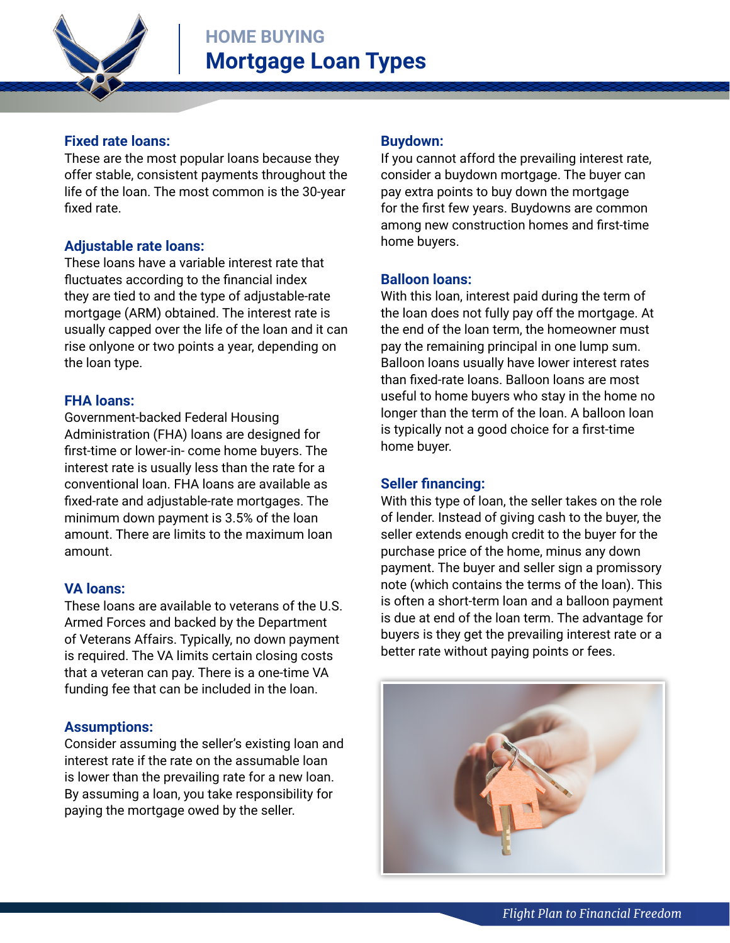

## **Fixed rate loans:**

These are the most popular loans because they offer stable, consistent payments throughout the life of the loan. The most common is the 30-year fixed rate.

# **Adjustable rate loans:**

These loans have a variable interest rate that fluctuates according to the financial index they are tied to and the type of adjustable-rate mortgage (ARM) obtained. The interest rate is usually capped over the life of the loan and it can rise onlyone or two points a year, depending on the loan type.

### **FHA loans:**

Government-backed Federal Housing Administration (FHA) loans are designed for first-time or lower-in- come home buyers. The interest rate is usually less than the rate for a conventional loan. FHA loans are available as fixed-rate and adjustable-rate mortgages. The minimum down payment is 3.5% of the loan amount. There are limits to the maximum loan amount.

# **VA loans:**

These loans are available to veterans of the U.S. Armed Forces and backed by the Department of Veterans Affairs. Typically, no down payment is required. The VA limits certain closing costs that a veteran can pay. There is a one-time VA funding fee that can be included in the loan.

### **Assumptions:**

Consider assuming the seller's existing loan and interest rate if the rate on the assumable loan is lower than the prevailing rate for a new loan. By assuming a loan, you take responsibility for paying the mortgage owed by the seller.

## **Buydown:**

If you cannot afford the prevailing interest rate, consider a buydown mortgage. The buyer can pay extra points to buy down the mortgage for the first few years. Buydowns are common among new construction homes and first-time home buyers.

### **Balloon loans:**

With this loan, interest paid during the term of the loan does not fully pay off the mortgage. At the end of the loan term, the homeowner must pay the remaining principal in one lump sum. Balloon loans usually have lower interest rates than fixed-rate loans. Balloon loans are most useful to home buyers who stay in the home no longer than the term of the loan. A balloon loan is typically not a good choice for a first-time home buyer.

### **Seller financing:**

With this type of loan, the seller takes on the role of lender. Instead of giving cash to the buyer, the seller extends enough credit to the buyer for the purchase price of the home, minus any down payment. The buyer and seller sign a promissory note (which contains the terms of the loan). This is often a short-term loan and a balloon payment is due at end of the loan term. The advantage for buyers is they get the prevailing interest rate or a better rate without paying points or fees.